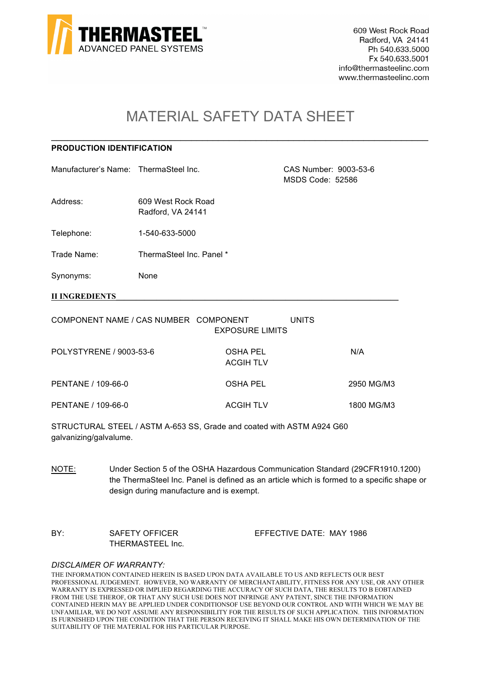

609 West Rock Road Radford, VA 24141 Ph 540.633.5000 Fx 540.633.5001 info@thermasteelinc.com www.thermasteelinc.com

# MATERIAL SAFETY DATA SHEET

\_\_\_\_\_\_\_\_\_\_\_\_\_\_\_\_\_\_\_\_\_\_\_\_\_\_\_\_\_\_\_\_\_\_\_\_\_\_\_\_\_\_\_\_\_\_\_\_\_\_\_\_\_\_\_\_\_\_\_\_\_\_\_\_\_\_\_\_\_\_

## **PRODUCTION IDENTIFICATION**

Manufacturer's Name: ThermaSteel Inc. CAS Number: 9003-53-6

Address: 609 West Rock Road Radford, VA 24141

Telephone: 1-540-633-5000

Trade Name: ThermaSteel Inc. Panel \*

Synonyms: None

**II INGREDIENTS** 

| COMPONENT NAME / CAS NUMBER COMPONENT | <b>EXPOSURE LIMITS</b>       | UNITS      |
|---------------------------------------|------------------------------|------------|
| POLYSTYRENE / 9003-53-6               | OSHA PEL<br><b>ACGIH TLV</b> | N/A        |
| PENTANE / 109-66-0                    | OSHA PEL                     | 2950 MG/M3 |
| PENTANE / 109-66-0                    | ACGIH TLV                    | 1800 MG/M3 |

STRUCTURAL STEEL / ASTM A-653 SS, Grade and coated with ASTM A924 G60 galvanizing/galvalume.

NOTE: Under Section 5 of the OSHA Hazardous Communication Standard (29CFR1910.1200) the ThermaSteel Inc. Panel is defined as an article which is formed to a specific shape or design during manufacture and is exempt.

BY: SAFETY OFFICER EFFECTIVE DATE: MAY 1986 THERMASTEEL Inc.

MSDS Code: 52586

#### *DISCLAIMER OF WARRANTY:*

THE INFORMATION CONTAINED HEREIN IS BASED UPON DATA AVAILABLE TO US AND REFLECTS OUR BEST PROFESSIONAL JUDGEMENT. HOWEVER, NO WARRANTY OF MERCHANTABILITY, FITNESS FOR ANY USE, OR ANY OTHER WARRANTY IS EXPRESSED OR IMPLIED REGARDING THE ACCURACY OF SUCH DATA, THE RESULTS TO B EOBTAINED FROM THE USE THEROF, OR THAT ANY SUCH USE DOES NOT INFRINGE ANY PATENT, SINCE THE INFORMATION CONTAINED HERIN MAY BE APPLIED UNDER CONDITIONSOF USE BEYOND OUR CONTROL AND WITH WHICH WE MAY BE UNFAMILIAR, WE DO NOT ASSUME ANY RESPONSIBILITY FOR THE RESULTS OF SUCH APPLICATION. THIS INFORMATION IS FURNISHED UPON THE CONDITION THAT THE PERSON RECEIVING IT SHALL MAKE HIS OWN DETERMINATION OF THE SUITABILITY OF THE MATERIAL FOR HIS PARTICULAR PURPOSE.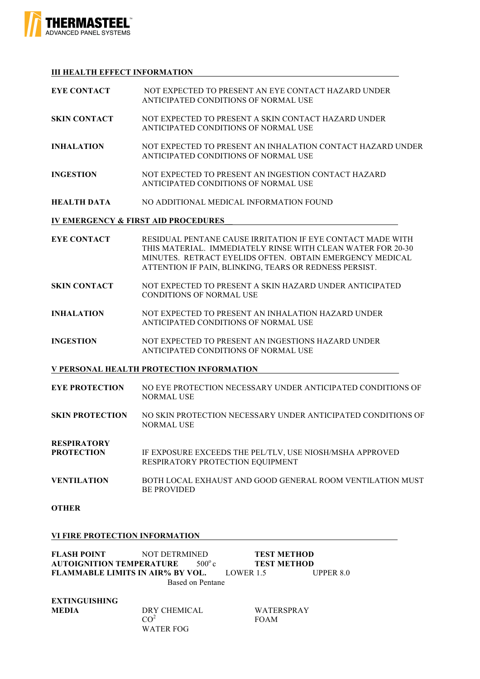

### **III HEALTH EFFECT INFORMATION**

| <b>EYE CONTACT</b>  | NOT EXPECTED TO PRESENT AN EYE CONTACT HAZARD UNDER<br>ANTICIPATED CONDITIONS OF NORMAL USE                                                                                                                                                  |
|---------------------|----------------------------------------------------------------------------------------------------------------------------------------------------------------------------------------------------------------------------------------------|
| <b>SKIN CONTACT</b> | NOT EXPECTED TO PRESENT A SKIN CONTACT HAZARD UNDER<br>ANTICIPATED CONDITIONS OF NORMAL USE                                                                                                                                                  |
| <b>INHALATION</b>   | NOT EXPECTED TO PRESENT AN INHALATION CONTACT HAZARD UNDER<br>ANTICIPATED CONDITIONS OF NORMAL USE                                                                                                                                           |
| <b>INGESTION</b>    | NOT EXPECTED TO PRESENT AN INGESTION CONTACT HAZARD<br>ANTICIPATED CONDITIONS OF NORMAL USE                                                                                                                                                  |
| <b>HEALTH DATA</b>  | NO ADDITIONAL MEDICAL INFORMATION FOUND                                                                                                                                                                                                      |
|                     | <b>IV EMERGENCY &amp; FIRST AID PROCEDURES</b>                                                                                                                                                                                               |
| <b>EYE CONTACT</b>  | RESIDUAL PENTANE CAUSE IRRITATION IF EYE CONTACT MADE WITH<br>THIS MATERIAL IMMEDIATELY RINSE WITH CLEAN WATER FOR 20-30<br>MINUTES RETRACT EYELIDS OFTEN OBTAIN EMERGENCY MEDICAL<br>ATTENTION IF PAIN, BLINKING, TEARS OR REDNESS PERSIST. |
| <b>SKIN CONTACT</b> | NOT EXPECTED TO PRESENT A SKIN HAZARD UNDER ANTICIPATED<br><b>CONDITIONS OF NORMAL USE</b>                                                                                                                                                   |
| INHAI ATION         | MOT EXPECTED TO PRESENT AN INHAI ATION HAZARD UNDER                                                                                                                                                                                          |

- **INHALATION** NOT EXPECTED TO PRESENT AN INHALATION HAZARD UNDER ANTICIPATED CONDITIONS OF NORMAL USE
- **INGESTION** NOT EXPECTED TO PRESENT AN INGESTIONS HAZARD UNDER ANTICIPATED CONDITIONS OF NORMAL USE

## **V PERSONAL HEALTH PROTECTION INFORMATION**

- **EYE PROTECTION** NO EYE PROTECTION NECESSARY UNDER ANTICIPATED CONDITIONS OF NORMAL USE
- **SKIN PROTECTION** NO SKIN PROTECTION NECESSARY UNDER ANTICIPATED CONDITIONS OF NORMAL USE

**RESPIRATORY** 

- **PROTECTION** IF EXPOSURE EXCEEDS THE PEL/TLV, USE NIOSH/MSHA APPROVED RESPIRATORY PROTECTION EQUIPMENT
- **VENTILATION** BOTH LOCAL EXHAUST AND GOOD GENERAL ROOM VENTILATION MUST BE PROVIDED

**OTHER**

#### **VI FIRE PROTECTION INFORMATION**

| <b>FLASH POINT</b>                      | NOT DETRMINED |                 |           | <b>TEST METHOD</b> |           |
|-----------------------------------------|---------------|-----------------|-----------|--------------------|-----------|
| <b>AUTOIGNITION TEMPERATURE</b>         |               | $500^{\circ}$ c |           | <b>TEST METHOD</b> |           |
| <b>FLAMMABLE LIMITS IN AIR% BY VOL.</b> |               |                 | LOWER 1.5 |                    | UPPER 8.0 |
| Based on Pentane                        |               |                 |           |                    |           |

**EXTINGUISHING** 

**MEDIA** DRY CHEMICAL WATERSPRAY CO<sup>2</sup> FOAM WATER FOG

FOAM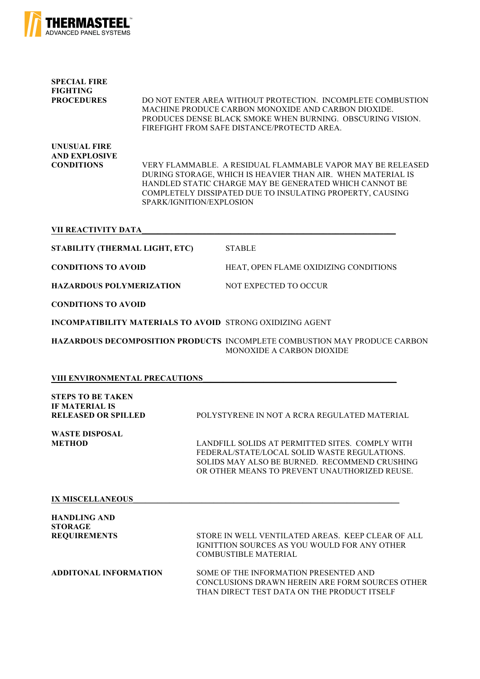

| <b>SPECIAL FIRE</b><br><b>FIGHTING</b><br><b>PROCEDURES</b> | DO NOT ENTER AREA WITHOUT PROTECTION. INCOMPLETE COMBUSTION<br>MACHINE PRODUCE CARBON MONOXIDE AND CARBON DIOXIDE.<br>PRODUCES DENSE BLACK SMOKE WHEN BURNING. OBSCURING VISION.<br>FIREFIGHT FROM SAFE DISTANCE/PROTECTD AREA.                                               |
|-------------------------------------------------------------|-------------------------------------------------------------------------------------------------------------------------------------------------------------------------------------------------------------------------------------------------------------------------------|
| UNUSUAL FIRE<br><b>AND EXPLOSIVE</b><br><b>CONDITIONS</b>   | VERY FLAMMABLE. A RESIDUAL FLAMMABLE VAPOR MAY BE RELEASED.<br>DURING STORAGE, WHICH IS HEAVIER THAN AIR. WHEN MATERIAL IS<br>HANDLED STATIC CHARGE MAY BE GENERATED WHICH CANNOT BE<br>COMPLETELY DISSIPATED DUE TO INSULATING PROPERTY, CAUSING<br>SPARK/IGNITION/EXPLOSION |

#### **VII REACTIVITY DATA\_\_\_\_\_\_\_\_\_\_\_\_\_\_\_\_\_\_\_\_\_\_\_\_\_\_\_\_\_\_\_\_\_\_\_\_\_\_\_\_\_\_\_\_\_\_\_\_\_\_\_\_\_\_\_\_\_\_\_\_\_\_\_**

| STABILITY (THERMAL LIGHT, ETC) - | <b>STABLE</b> |  |
|----------------------------------|---------------|--|
|----------------------------------|---------------|--|

**CONDITIONS TO AVOID** HEAT, OPEN FLAME OXIDIZING CONDITIONS

**HAZARDOUS POLYMERIZATION** NOT EXPECTED TO OCCUR

**CONDITIONS TO AVOID**

**INCOMPATIBILITY MATERIALS TO AVOID** STRONG OXIDIZING AGENT

**HAZARDOUS DECOMPOSITION PRODUCTS** INCOMPLETE COMBUSTION MAY PRODUCE CARBON MONOXIDE A CARBON DIOXIDE

#### **VIII ENVIRONMENTAL PRECAUTIONS**

| <b>STEPS TO BE TAKEN</b><br><b>IF MATERIAL IS</b><br><b>RELEASED OR SPILLED</b> | POLYSTYRENE IN NOT A RCRA REGULATED MATERIAL                                                                                                                                                      |
|---------------------------------------------------------------------------------|---------------------------------------------------------------------------------------------------------------------------------------------------------------------------------------------------|
| <b>WASTE DISPOSAL</b><br><b>METHOD</b>                                          | LANDFILL SOLIDS AT PERMITTED SITES. COMPLY WITH<br>FEDERAL/STATE/LOCAL SOLID WASTE REGULATIONS.<br>SOLIDS MAY ALSO BE BURNED. RECOMMEND CRUSHING<br>OR OTHER MEANS TO PREVENT UNAUTHORIZED REUSE. |
| <b>IX MISCELLANEOUS</b>                                                         |                                                                                                                                                                                                   |
| <b>HANDLING AND</b><br><b>STORAGE</b>                                           |                                                                                                                                                                                                   |
| <b>REQUIREMENTS</b>                                                             | STORE IN WELL VENTILATED AREAS. KEEP CLEAR OF ALL<br>IGNITTION SOURCES AS YOU WOULD FOR ANY OTHER<br><b>COMBUSTIBLE MATERIAL</b>                                                                  |
| <b>ADDITONAL INFORMATION</b>                                                    | SOME OF THE INFORMATION PRESENTED AND<br>CONCLUSIONS DRAWN HEREIN ARE FORM SOURCES OTHER                                                                                                          |

THAN DIRECT TEST DATA ON THE PRODUCT ITSELF